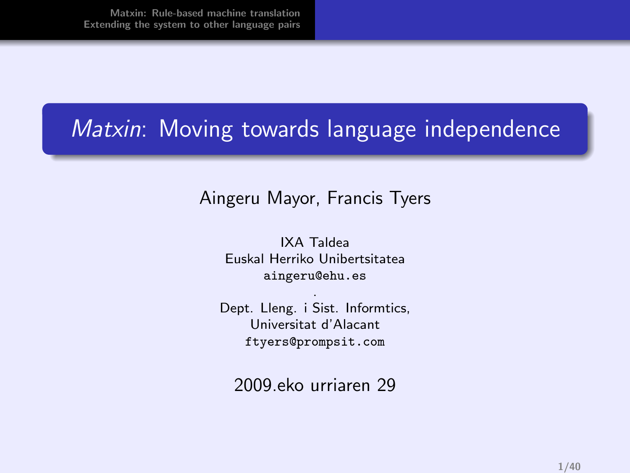## Matxin: Moving towards language independence

#### Aingeru Mayor, Francis Tyers

IXA Taldea Euskal Herriko Unibertsitatea aingeru@ehu.es

. Dept. Lleng. i Sist. Informtics, Universitat d'Alacant ftyers@prompsit.com

2009.eko urriaren 29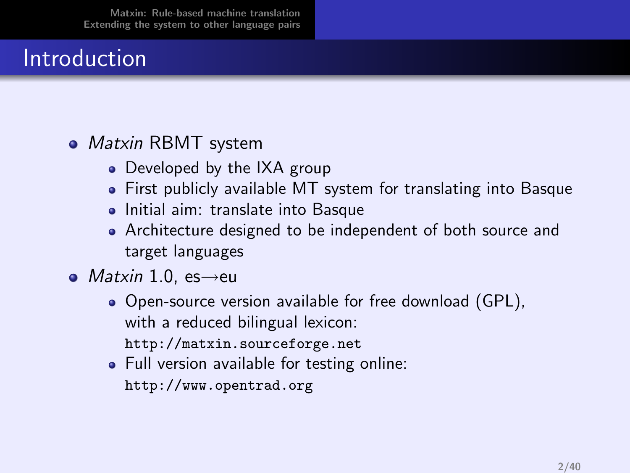## Introduction

#### • Matxin RBMT system

- Developed by the IXA group
- First publicly available MT system for translating into Basque
- Initial aim: translate into Basque
- Architecture designed to be independent of both source and target languages
- $\bullet$  *Matxin* 1.0, es $\rightarrow$ eu
	- Open-source version available for free download (GPL), with a reduced bilingual lexicon: http://matxin.sourceforge.net
	- Full version available for testing online: http://www.opentrad.org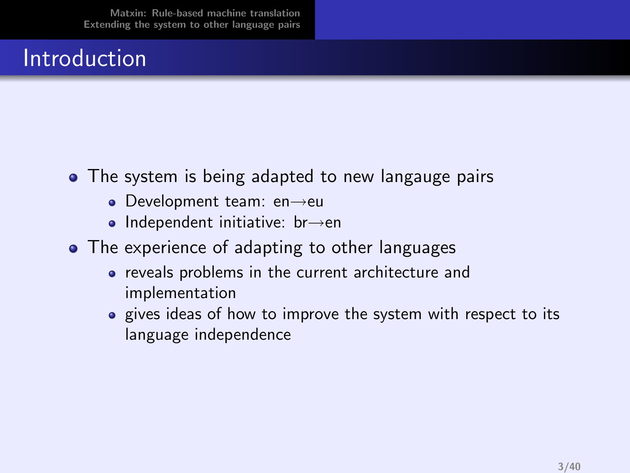## Introduction

- The system is being adapted to new langauge pairs
	- Development team: en→eu
	- Independent initiative: br→en
- The experience of adapting to other languages
	- reveals problems in the current architecture and implementation
	- gives ideas of how to improve the system with respect to its language independence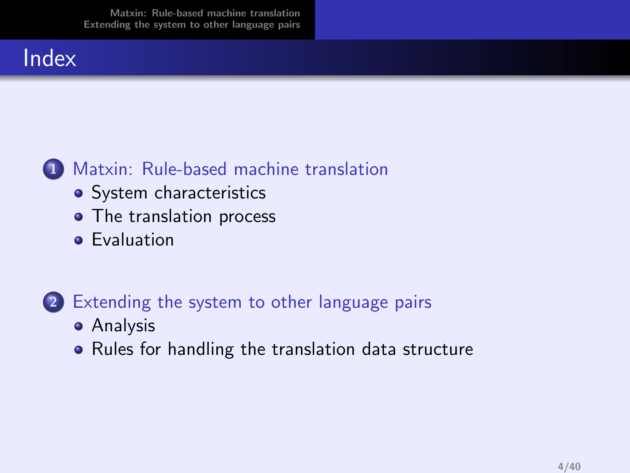#### Index



#### 1 [Matxin: Rule-based machine translation](#page-4-0)

- [System characteristics](#page-6-0)
- [The translation process](#page-13-0)
- **•** [Evaluation](#page-23-0)

#### 2 [Extending the system to other language pairs](#page-25-0)

- **•** [Analysis](#page-26-0)
- [Rules for handling the translation data structure](#page-29-0)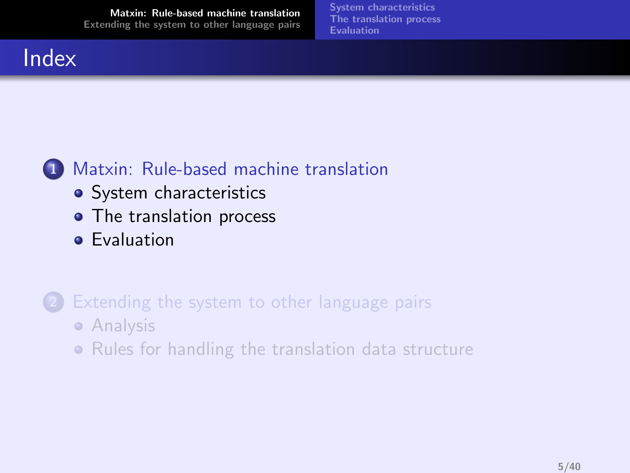<span id="page-4-0"></span>[System characteristics](#page-6-0) [The translation process](#page-13-0) [Evaluation](#page-23-0)

#### Index



- [System characteristics](#page-6-0)
- [The translation process](#page-13-0)
- **•** [Evaluation](#page-23-0)
- [Extending the system to other language pairs](#page-25-0) **•** [Analysis](#page-26-0)
	- [Rules for handling the translation data structure](#page-29-0)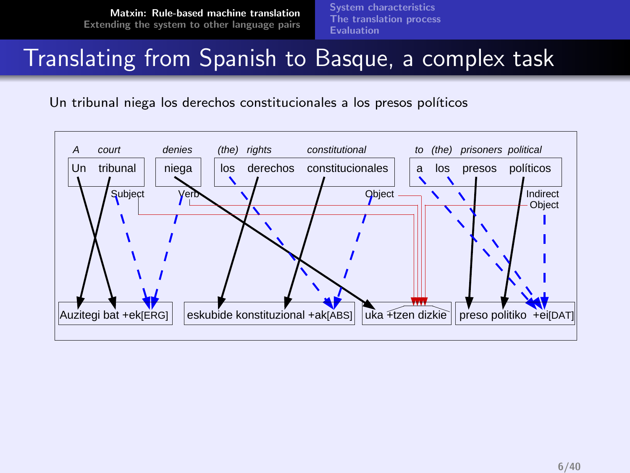[System characteristics](#page-6-0) [The translation process](#page-13-0) [Evaluation](#page-23-0)

### Translating from Spanish to Basque, a complex task

Un tribunal niega los derechos constitucionales a los presos políticos

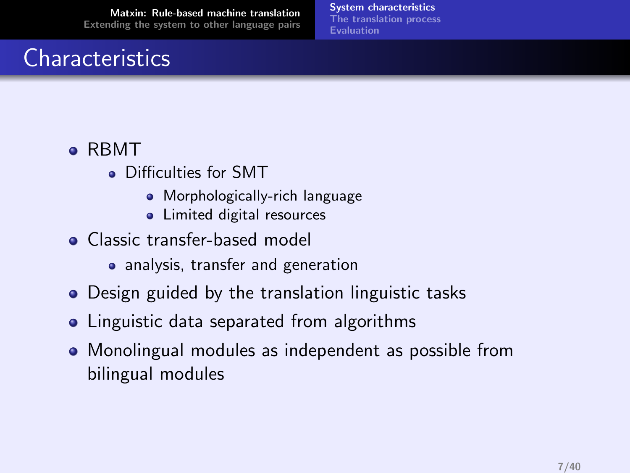# **Characteristics**

[System characteristics](#page-6-0) [The translation process](#page-13-0) [Evaluation](#page-23-0)

#### RBMT

- Difficulties for SMT
	- **•** Morphologically-rich language
	- Limited digital resources
- Classic transfer-based model
	- analysis, transfer and generation
- Design guided by the translation linguistic tasks
- Linguistic data separated from algorithms
- <span id="page-6-0"></span>• Monolingual modules as independent as possible from bilingual modules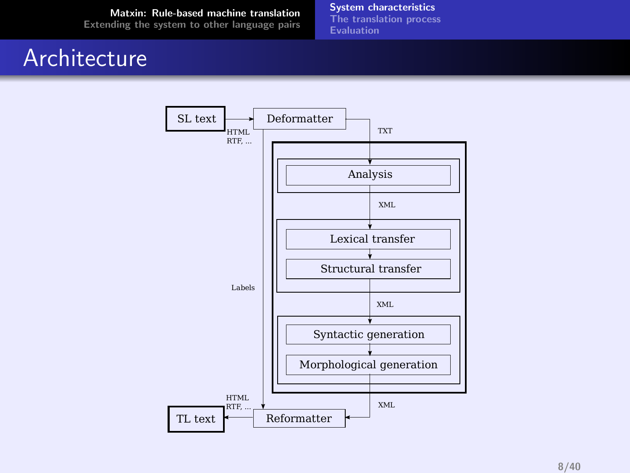#### Architecture

[System characteristics](#page-6-0) [The translation process](#page-13-0) **[Evaluation](#page-23-0)** 

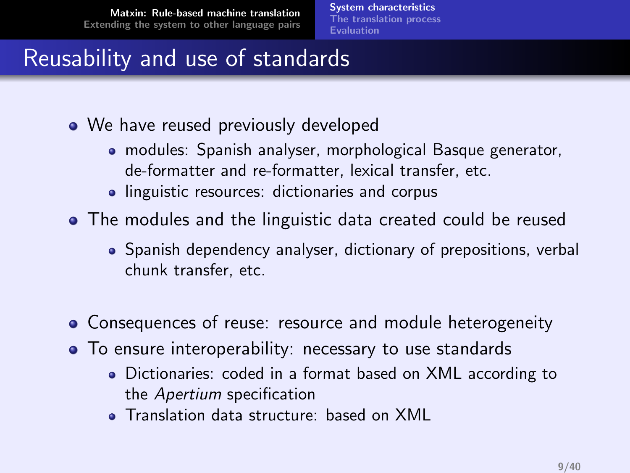[System characteristics](#page-6-0) [The translation process](#page-13-0) [Evaluation](#page-23-0)

# Reusability and use of standards

- We have reused previously developed
	- modules: Spanish analyser, morphological Basque generator, de-formatter and re-formatter, lexical transfer, etc.
	- linguistic resources: dictionaries and corpus
- The modules and the linguistic data created could be reused
	- Spanish dependency analyser, dictionary of prepositions, verbal chunk transfer, etc.
- Consequences of reuse: resource and module heterogeneity
- To ensure interoperability: necessary to use standards
	- Dictionaries: coded in a format based on XML according to the Apertium specification
	- Translation data structure: based on XML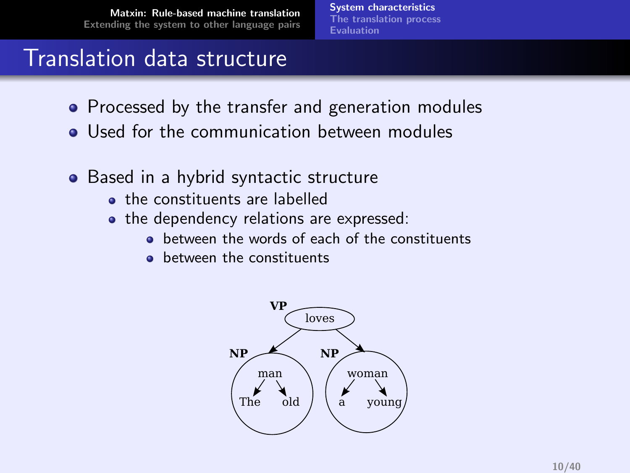[System characteristics](#page-6-0) [The translation process](#page-13-0) [Evaluation](#page-23-0)

#### Translation data structure

- Processed by the transfer and generation modules
- **•** Used for the communication between modules
- Based in a hybrid syntactic structure
	- **the constituents are labelled**
	- the dependency relations are expressed:
		- **•** between the words of each of the constituents
		- **•** between the constituents

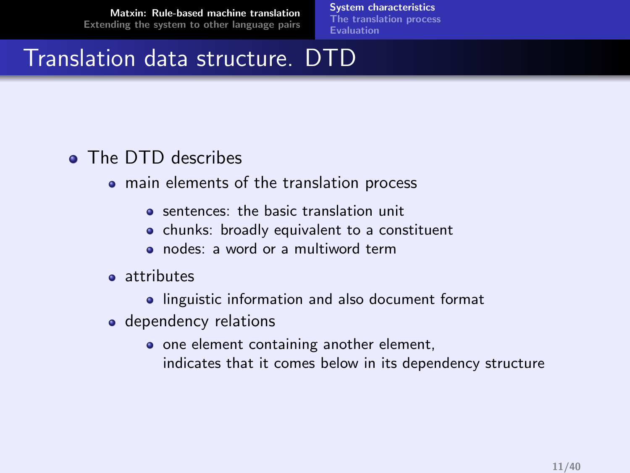[System characteristics](#page-6-0) [The translation process](#page-13-0) [Evaluation](#page-23-0)

## Translation data structure. DTD

#### • The DTD describes

- main elements of the translation process
	- **•** sentences: the basic translation unit
	- chunks: broadly equivalent to a constituent
	- nodes: a word or a multiword term
- **a** attributes
	- **•** linguistic information and also document format
- dependency relations
	- o one element containing another element, indicates that it comes below in its dependency structure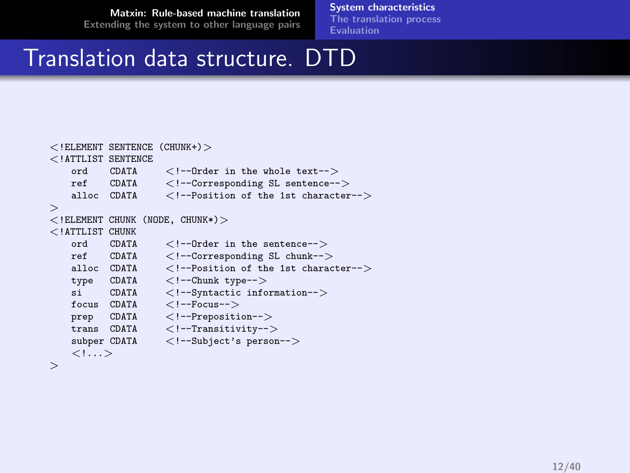[System characteristics](#page-6-0) [The translation process](#page-13-0)

[Evaluation](#page-23-0)

#### Translation data structure. DTD

```
<! ELEMENT SENTENCE (CHUNK+) ><!ATTLIST SENTENCE
     ord CDATA <!--Order in the whole text--><br>ref CDATA <!--Corresponding SL sentence--
    ref CDATA <!--Corresponding SL sentence-->
     alloc CDATA <!--Position of the 1st character-->
>
\lt! ELEMENT CHUNK (NODE, CHUNK*) ><!ATTLIST CHUNK
     ord CDATA <!--Order in the sentence-->
     ref CDATA <!--Corresponding SL chunk--><br>alloc CDATA <!--Position of the 1st charac
                           \langle !--Position of the 1st character-->type CDATA <!--Chunk type--><br>si CDATA <!--Svntactic info
    si CDATA <!--Syntactic information--><br>focus CDATA <!--Focus-->
             CDATA \langle !--Focus--\rangle<br>CDATA \langle !--Prepositiprep CDATA <!--Preposition-->
    trans CDATA <!--Transitivity--><br>subper CDATA <!--Subject's person
                           \langle !--Subject's person-->\langle!\dots>
```
>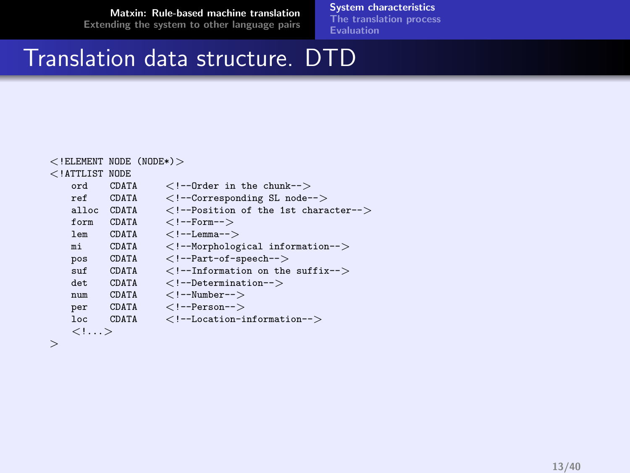[System characteristics](#page-6-0)

[The translation process](#page-13-0) **[Evaluation](#page-23-0)** 

## Translation data structure. DTD

| $<$ !ELEMENT NODE (NODE*) $>$ |              |                                                |
|-------------------------------|--------------|------------------------------------------------|
| $<$ ! ATTLIST NODE            |              |                                                |
|                               | ord CDATA    | $\langle$ !--Order in the chunk-- $>$          |
|                               | ref CDATA    | $\langle$ !--Corresponding SL node-- $\rangle$ |
|                               | alloc CDATA  | Position of the 1st character                  |
| form                          |              | $CDATA$ Form                                   |
| lem                           | CDATA        |                                                |
| mi                            | <b>CDATA</b> | Morphological information                      |
| pos                           | CDATA        | $\langle$ !--Part-of-speech-->                 |
| $\sin f$                      | CDATA        | $\langle$ !--Information on the suffix-->      |
| det.                          | <b>CDATA</b> | $\langle$ !--Determination-- $\rangle$         |
| $n$ <sub>11</sub> $m$         | <b>CDATA</b> | $\langle$ !--Number-->                         |
| per                           |              | $CDATA$ $\langle$ !--Person-->                 |
| loc                           | CDATA        | $\langle$ !--Location-information-- $\rangle$  |
| $\langle$ !>                  |              |                                                |
|                               |              |                                                |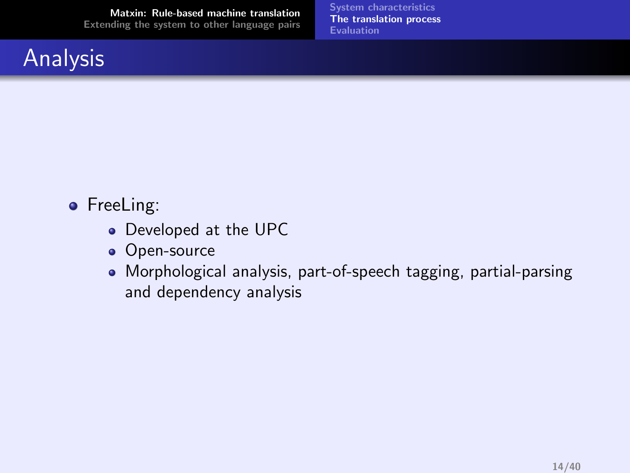## **Analysis**

<span id="page-13-0"></span>[System characteristics](#page-6-0) [The translation process](#page-13-0) [Evaluation](#page-23-0)

- FreeLing:
	- Developed at the UPC
	- Open-source
	- Morphological analysis, part-of-speech tagging, partial-parsing and dependency analysis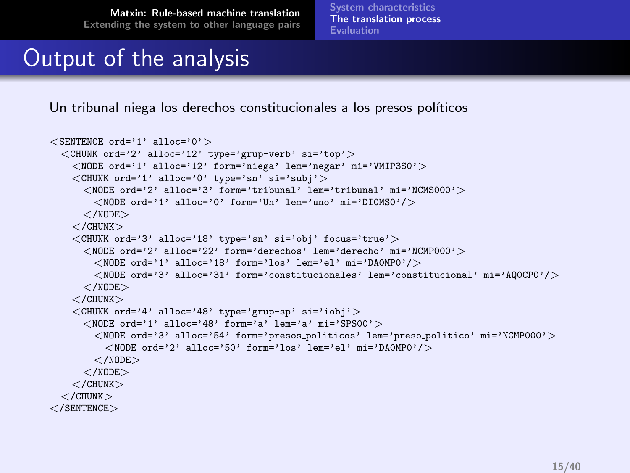[System characteristics](#page-6-0) [The translation process](#page-13-0) **[Evaluation](#page-23-0)** 

# Output of the analysis

Un tribunal niega los derechos constitucionales a los presos políticos

```
\leqSENTENCE ord='1' alloc='0'>
  \langle CHUNK ord='2' alloc='12' type='grup-verb' si='top'>
    \langleNODE ord='1' alloc='12' form='niega' lem='negar' mi='VMIP3SO' >
    \langle CHUNK ord='1' alloc='0' type='sn' si='subj' >
      \langle NODE \text{ order'} 2' \text{ allow } = '3' \text{ form} = 'tribunal' level' = 'NCMSO00'<NODE ord='1' alloc='0' form='Un' lem='uno' mi='DIOMS0'/></NODE>\langle/CHUNK>\langle CHUNK ord='3' alloc='18' type='sn' si='obj' focus='true' \rangle\langle \text{NODE ord} = '2' alloc='22' form='derechos' lem='derecho' mi='NCMP000'>
        \langleNODE ord='1' alloc='18' form='los' lem='el' mi='DAOMPO'/><NODE ord='3' alloc='31' form='constitucionales' lem='constitucional' mi='AQ0CP0'/>
      </NODE>\langle/CHUNK>\langleCHUNK ord='4' alloc='48' type='grup-sp' si='iobj'>
      <NODE ord='1' alloc='48' form='a' lem='a' mi='SPS00'>
        \langle \text{NODE ord} = '3' alloc='54' form='presos_politicos' lem='preso_politico' mi='NCMP000'>
           \langleNODE ord='2' alloc='50' form='los' lem='el' mi='DAOMP0'/></NODE></NODE></CHUNK>\langle / CHUNK></SENTENCE>
```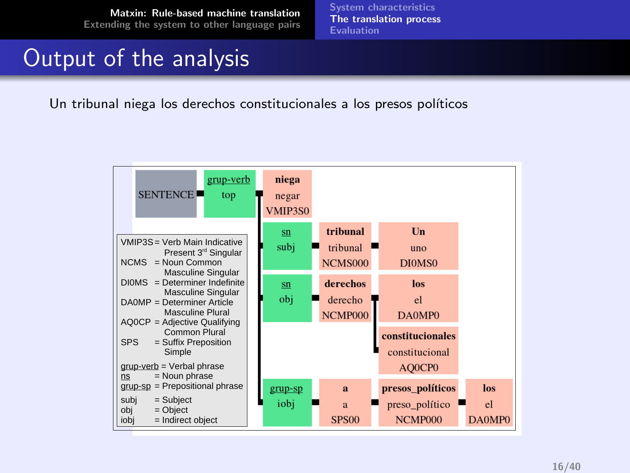[System characteristics](#page-6-0) [The translation process](#page-13-0) **[Evaluation](#page-23-0)** 

### Output of the analysis

Un tribunal niega los derechos constitucionales a los presos políticos

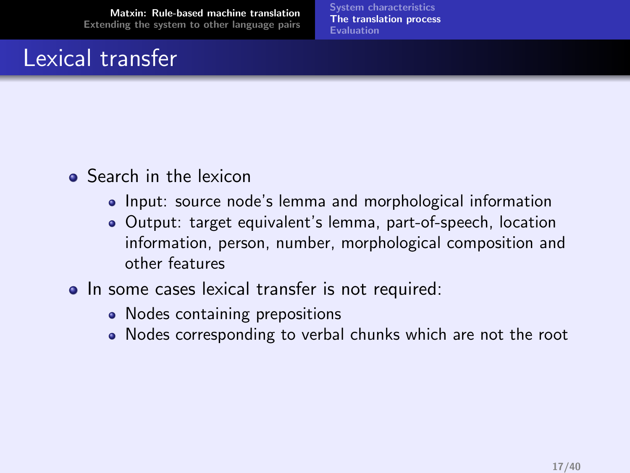## Lexical transfer

[System characteristics](#page-6-0) [The translation process](#page-13-0) [Evaluation](#page-23-0)

- **•** Search in the lexicon
	- Input: source node's lemma and morphological information
	- Output: target equivalent's lemma, part-of-speech, location information, person, number, morphological composition and other features
- In some cases lexical transfer is not required:
	- Nodes containing prepositions
	- Nodes corresponding to verbal chunks which are not the root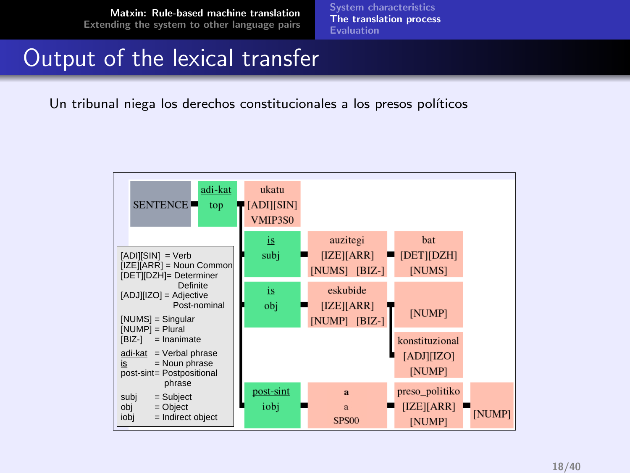[System characteristics](#page-6-0) [The translation process](#page-13-0) **[Evaluation](#page-23-0)** 

## Output of the lexical transfer

Un tribunal niega los derechos constitucionales a los presos políticos

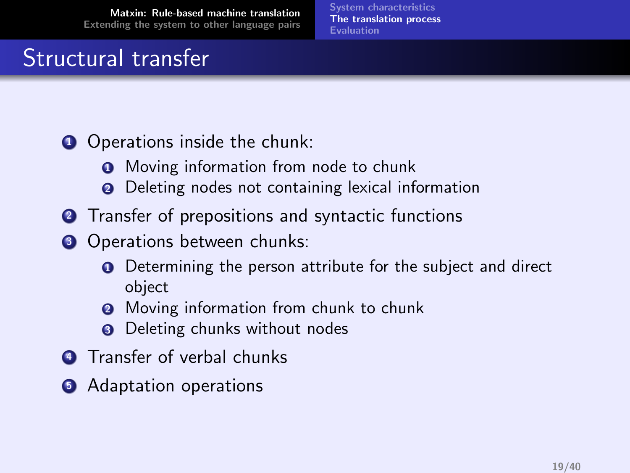[System characteristics](#page-6-0) [The translation process](#page-13-0) [Evaluation](#page-23-0)

# Structural transfer

- **1** Operations inside the chunk:
	- **Q** Moving information from node to chunk
	- **2** Deleting nodes not containing lexical information
- **2** Transfer of prepositions and syntactic functions
- **3** Operations between chunks:
	- **Q** Determining the person attribute for the subject and direct object
	- **2** Moving information from chunk to chunk
	- **3** Deleting chunks without nodes
- **4** Transfer of verbal chunks
- **6** Adaptation operations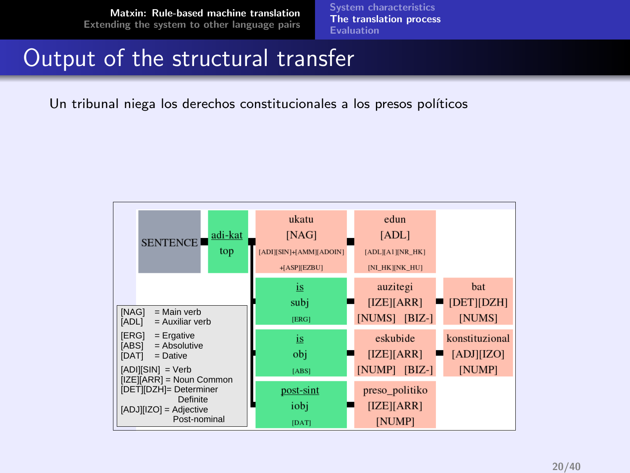[System characteristics](#page-6-0) [The translation process](#page-13-0) **[Evaluation](#page-23-0)** 

### Output of the structural transfer

Un tribunal niega los derechos constitucionales a los presos políticos

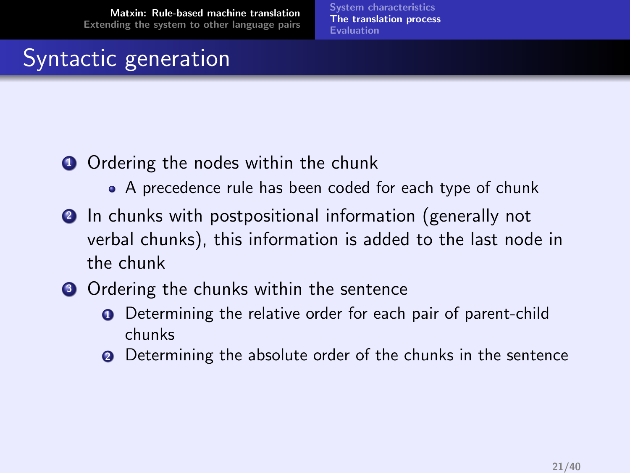[System characteristics](#page-6-0) [The translation process](#page-13-0) [Evaluation](#page-23-0)

## Syntactic generation

- **1** Ordering the nodes within the chunk
	- A precedence rule has been coded for each type of chunk
- **2** In chunks with postpositional information (generally not verbal chunks), this information is added to the last node in the chunk
- **3** Ordering the chunks within the sentence
	- **Q** Determining the relative order for each pair of parent-child chunks
	- **2** Determining the absolute order of the chunks in the sentence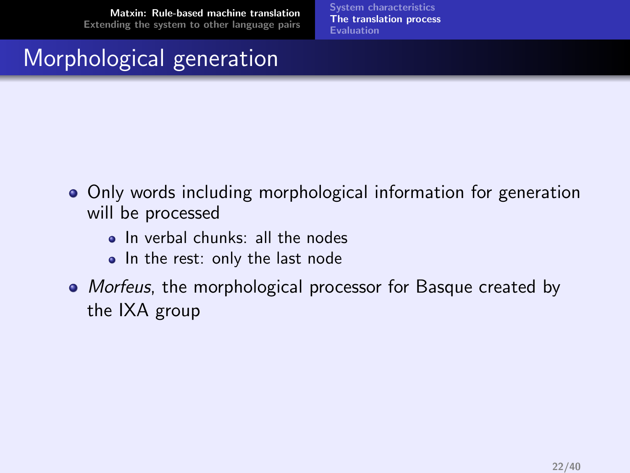[System characteristics](#page-6-0) [The translation process](#page-13-0) [Evaluation](#page-23-0)

# Morphological generation

- Only words including morphological information for generation will be processed
	- In verbal chunks: all the nodes
	- In the rest: only the last node
- Morfeus, the morphological processor for Basque created by the IXA group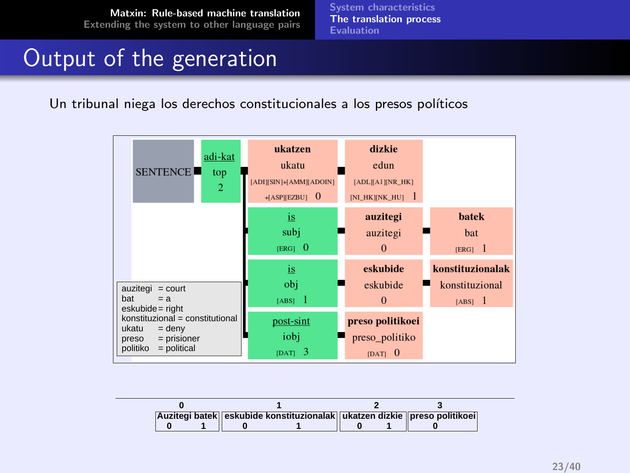[System characteristics](#page-6-0) [The translation process](#page-13-0) **[Evaluation](#page-23-0)** 

### Output of the generation

Un tribunal niega los derechos constitucionales a los presos políticos



|  |  |  | Auzitegi batek eskubide konstituzionalak ukatzen dizkie preso politikoei |  |
|--|--|--|--------------------------------------------------------------------------|--|
|  |  |  |                                                                          |  |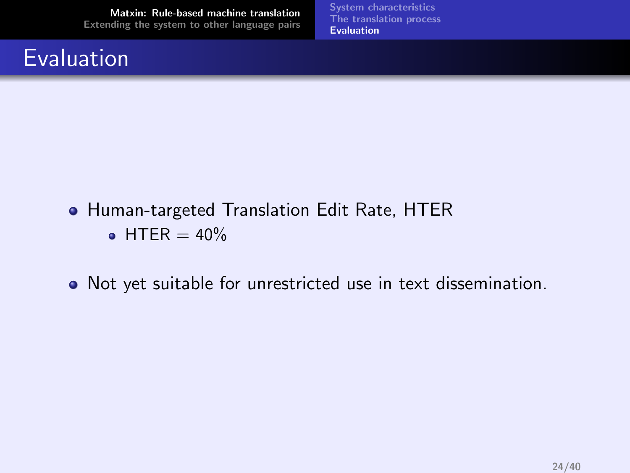## Evaluation

<span id="page-23-0"></span>[System characteristics](#page-6-0) [The translation process](#page-13-0) [Evaluation](#page-23-0)

- **Human-targeted Translation Edit Rate, HTER**  $\bullet$  HTFR  $=$  40%
- Not yet suitable for unrestricted use in text dissemination.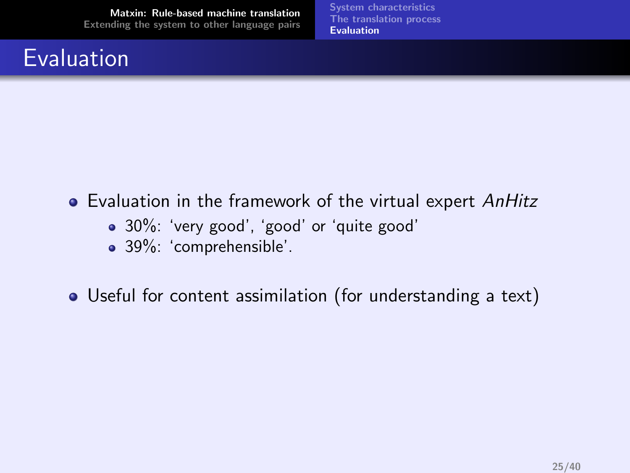## Evaluation

[System characteristics](#page-6-0) [The translation process](#page-13-0) [Evaluation](#page-23-0)

- Evaluation in the framework of the virtual expert AnHitz
	- 30%: 'very good', 'good' or 'quite good'
	- 39%: 'comprehensible'.

Useful for content assimilation (for understanding a text)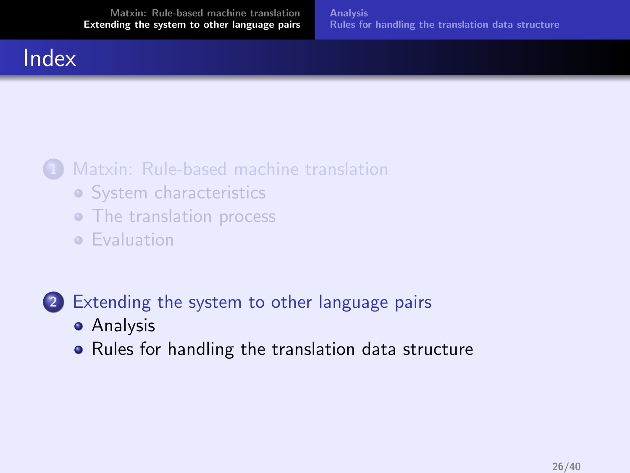#### Index

#### [Matxin: Rule-based machine translation](#page-4-0)

- [System characteristics](#page-6-0)
- [The translation process](#page-13-0)
- **•** [Evaluation](#page-23-0)

#### 2 [Extending the system to other language pairs](#page-25-0)

- **•** [Analysis](#page-26-0)
- <span id="page-25-0"></span>• [Rules for handling the translation data structure](#page-29-0)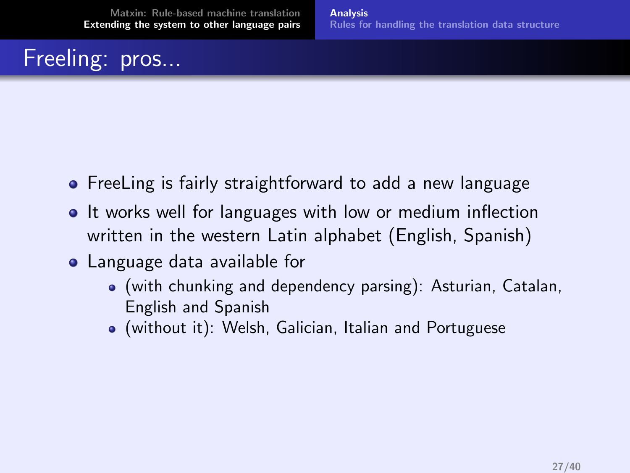# Freeling: pros...

- **•** FreeLing is fairly straightforward to add a new language
- It works well for languages with low or medium inflection written in the western Latin alphabet (English, Spanish)
- <span id="page-26-0"></span>Language data available for
	- (with chunking and dependency parsing): Asturian, Catalan, English and Spanish
	- (without it): Welsh, Galician, Italian and Portuguese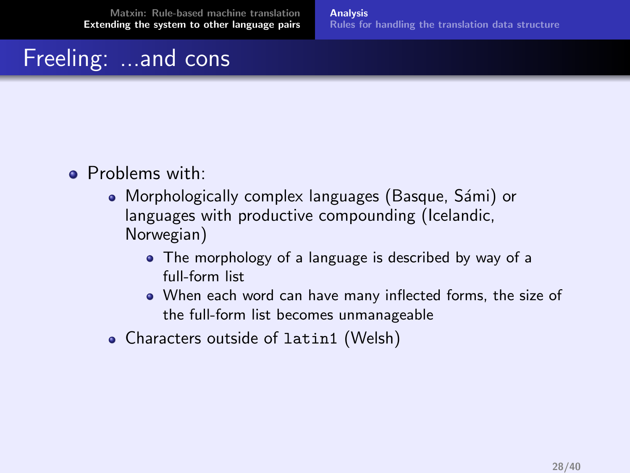# Freeling: ...and cons

- Problems with:
	- Morphologically complex languages (Basque, Sámi) or languages with productive compounding (Icelandic, Norwegian)
		- The morphology of a language is described by way of a full-form list
		- When each word can have many inflected forms, the size of the full-form list becomes unmanageable
	- Characters outside of latin1 (Welsh)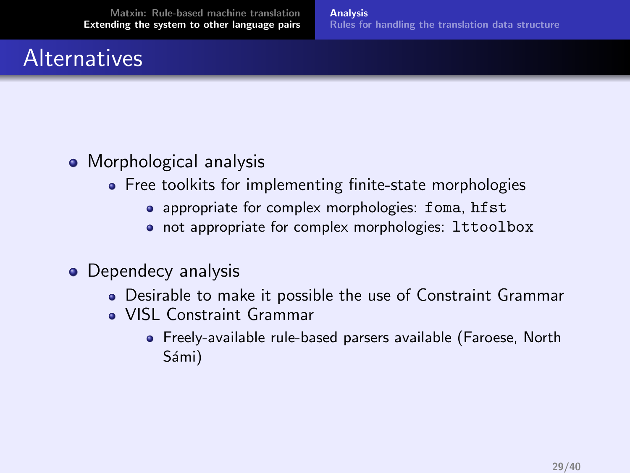## **Alternatives**

- Morphological analysis
	- Free toolkits for implementing finite-state morphologies
		- appropriate for complex morphologies: foma, hfst
		- not appropriate for complex morphologies: lttoolbox
- Dependecy analysis
	- Desirable to make it possible the use of Constraint Grammar
	- VISL Constraint Grammar
		- Freely-available rule-based parsers available (Faroese, North Sámi)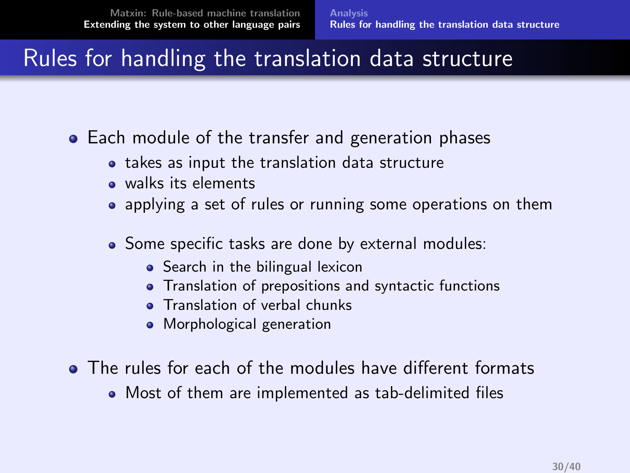### Rules for handling the translation data structure

- Each module of the transfer and generation phases
	- takes as input the translation data structure
	- walks its elements
	- applying a set of rules or running some operations on them
	- Some specific tasks are done by external modules:
		- Search in the bilingual lexicon
		- **•** Translation of prepositions and syntactic functions
		- **•** Translation of verbal chunks
		- **•** Morphological generation
- <span id="page-29-0"></span>The rules for each of the modules have different formats
	- Most of them are implemented as tab-delimited files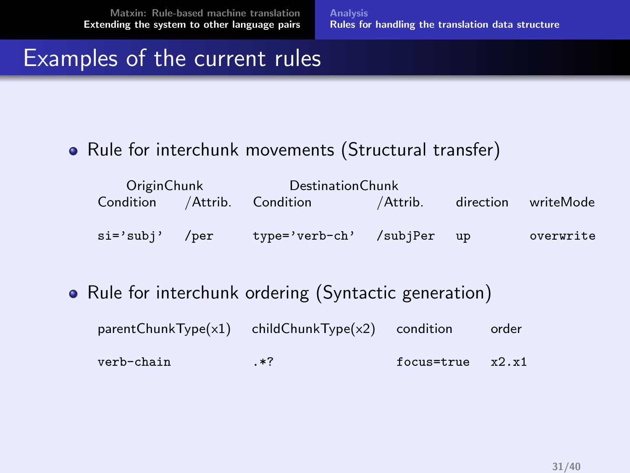[Analysis](#page-26-0) [Rules for handling the translation data structure](#page-29-0)

### Examples of the current rules

#### • Rule for interchunk movements (Structural transfer)

| OriginChunk                   |  | DestinationChunk        |          |    |                     |  |
|-------------------------------|--|-------------------------|----------|----|---------------------|--|
| Condition / Attrib. Condition |  |                         | /Attrib. |    | direction writeMode |  |
|                               |  |                         |          |    |                     |  |
| si='subi' /per                |  | type='verb-ch' /subjPer |          | up | overwrite           |  |

#### • Rule for interchunk ordering (Syntactic generation)

| $parentChunkType(x1)$ childChunkType $(x2)$ condition |       |            | order |
|-------------------------------------------------------|-------|------------|-------|
| verb-chain                                            | $.*7$ | focus=true | x2.x1 |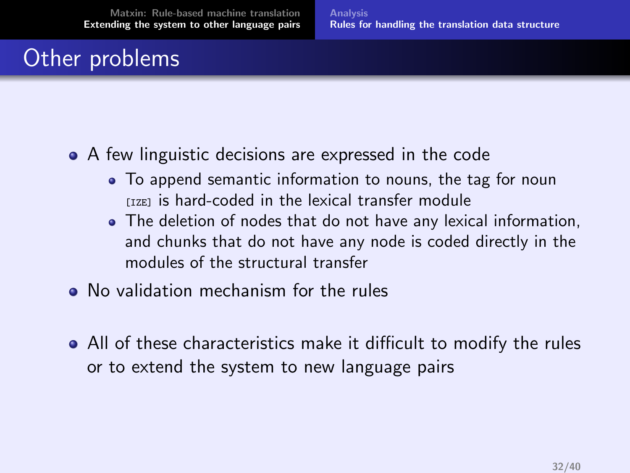# Other problems

- A few linguistic decisions are expressed in the code
	- To append semantic information to nouns, the tag for noun  $I<sub>IZET</sub>$  is hard-coded in the lexical transfer module
	- The deletion of nodes that do not have any lexical information, and chunks that do not have any node is coded directly in the modules of the structural transfer
- No validation mechanism for the rules
- All of these characteristics make it difficult to modify the rules or to extend the system to new language pairs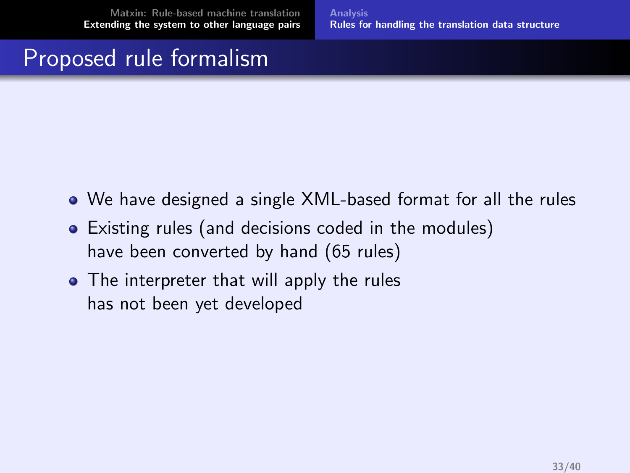[Analysis](#page-26-0) [Rules for handling the translation data structure](#page-29-0)

### Proposed rule formalism

- We have designed a single XML-based format for all the rules
- Existing rules (and decisions coded in the modules) have been converted by hand (65 rules)
- The interpreter that will apply the rules has not been yet developed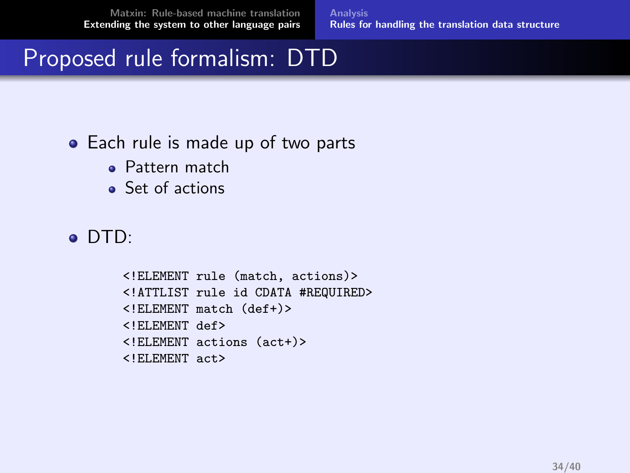[Analysis](#page-26-0) [Rules for handling the translation data structure](#page-29-0)

## Proposed rule formalism: DTD

#### • Each rule is made up of two parts

- Pattern match
- Set of actions

#### DTD:

<!ELEMENT rule (match, actions)> <!ATTLIST rule id CDATA #REQUIRED> <!ELEMENT match (def+)> <!ELEMENT def> <!ELEMENT actions (act+)> <!ELEMENT act>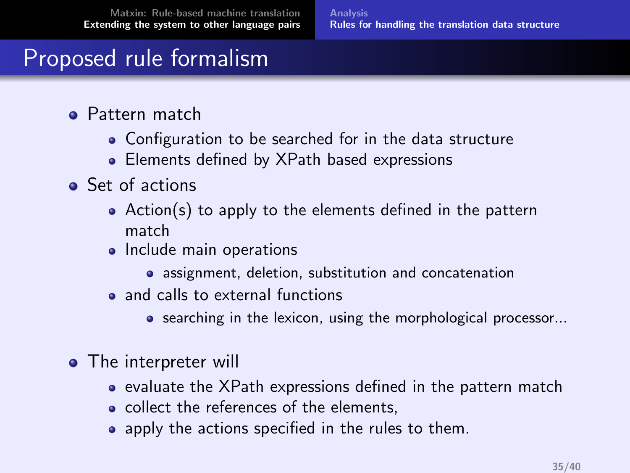## Proposed rule formalism

- **•** Pattern match
	- Configuration to be searched for in the data structure
	- Elements defined by XPath based expressions
- **•** Set of actions
	- Action(s) to apply to the elements defined in the pattern match
	- Include main operations
		- assignment, deletion, substitution and concatenation
	- a and calls to external functions
		- **•** searching in the lexicon, using the morphological processor...
- The interpreter will
	- evaluate the XPath expressions defined in the pattern match
	- collect the references of the elements,
	- apply the actions specified in the rules to them.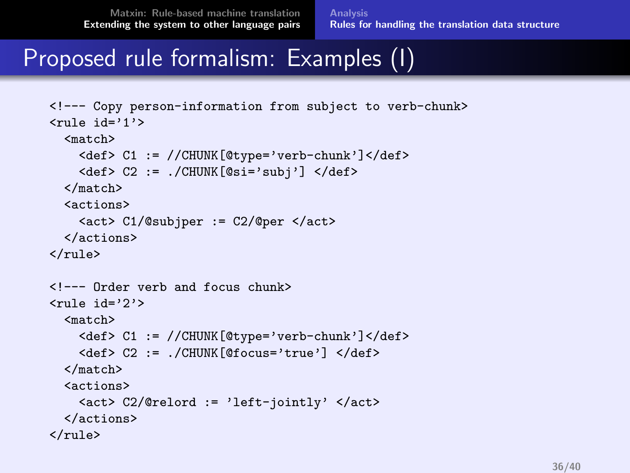### Proposed rule formalism: Examples (I)

```
<!--- Copy person-information from subject to verb-chunk>
\langlerule id='1'>
  <match>
    <def> C1 := //CHUNK[@type='verb-chunk']</def>
    <def> C2 := ./CHUNK[@si='subj'] </def>
  </match>
  <actions>
    <act> C1/@subjper := C2/@per </act>
  </actions>
\langle/rule>
<!--- Order verb and focus chunk>
\langlerule id='2'>
  <match>
    <def> C1 := //CHUNK[@type='verb-chunk']</def>
    <def> C2 := ./CHUNK[@focus='true'] </def>
  </match>
  <actions>
    <act> C2/@relord := 'left-jointly' </act>
  </actions>
\langle/rule>
```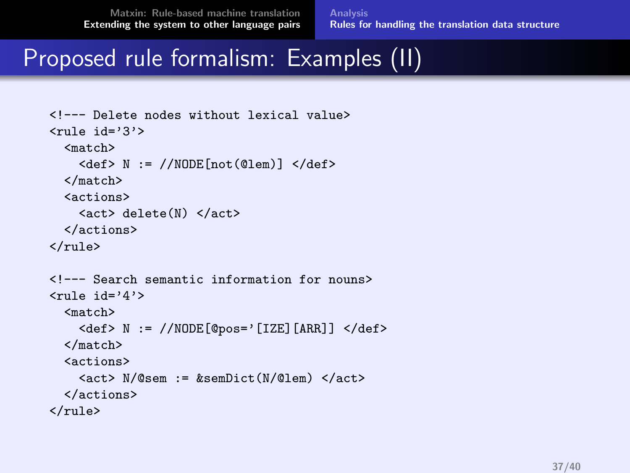[Analysis](#page-26-0) [Rules for handling the translation data structure](#page-29-0)

### Proposed rule formalism: Examples (II)

```
<!--- Delete nodes without lexical value>
\langlerule id='3'>
  <match>
      \langle \text{def} \rangle N := //NODE [not(@lem)] \langle \text{def} \rangle</match>
  <actions>
     <act> delete(N) </act>
  </actions>
\langle/rule\rangle<!--- Search semantic information for nouns>
\langlerule id='4'>
  <match>
      \langle \text{def} \rangle N := //NODE[@pos='[IZE][ARR]] \langle \text{def} \rangle</match>
  <actions>
      \langle \text{act} \rangle N/@sem := \& \text{semDict} (N/\text{Qlem}) \langle \text{act} \rangle</actions>
\langlerule\rangle
```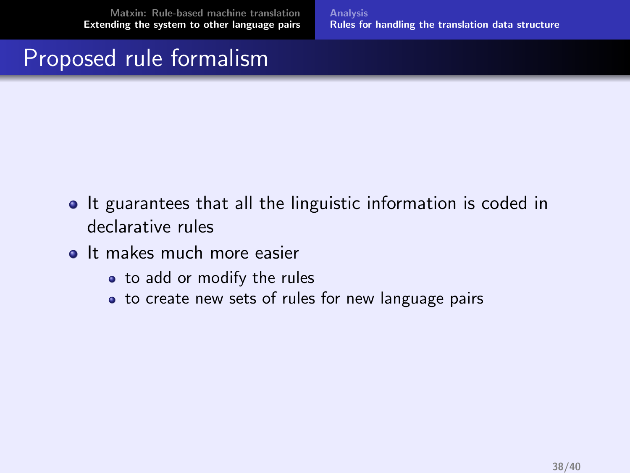[Analysis](#page-26-0) [Rules for handling the translation data structure](#page-29-0)

### Proposed rule formalism

- It guarantees that all the linguistic information is coded in declarative rules
- It makes much more easier
	- to add or modify the rules
	- to create new sets of rules for new language pairs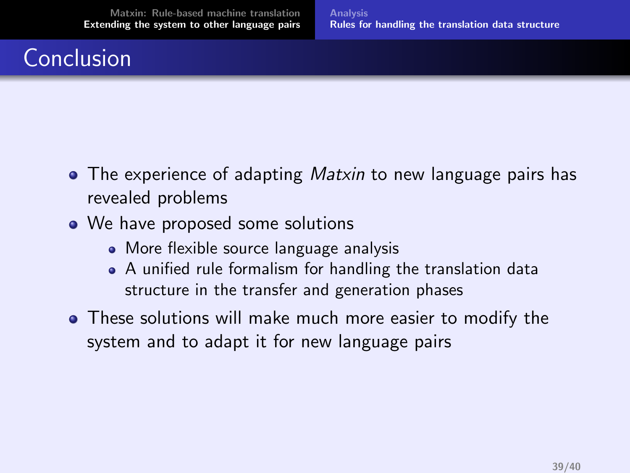## Conclusion

- The experience of adapting *Matxin* to new language pairs has revealed problems
- We have proposed some solutions
	- More flexible source language analysis
	- A unified rule formalism for handling the translation data structure in the transfer and generation phases
- These solutions will make much more easier to modify the system and to adapt it for new language pairs